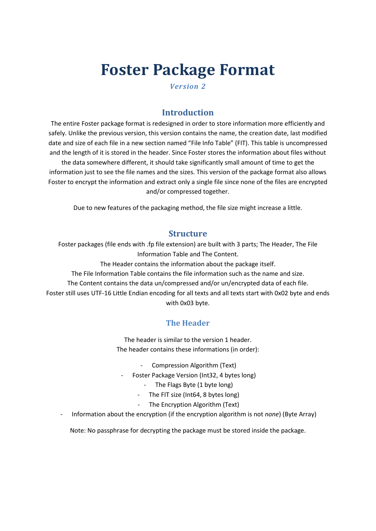# **Foster Package Format**

*Version 2*

## **Introduction**

The entire Foster package format is redesigned in order to store information more efficiently and safely. Unlike the previous version, this version contains the name, the creation date, last modified date and size of each file in a new section named "File Info Table" (FIT). This table is uncompressed and the length of it is stored in the header. Since Foster stores the information about files without the data somewhere different, it should take significantly small amount of time to get the information just to see the file names and the sizes. This version of the package format also allows Foster to encrypt the information and extract only a single file since none of the files are encrypted and/or compressed together.

Due to new features of the packaging method, the file size might increase a little.

#### **Structure**

Foster packages (file ends with .fp file extension) are built with 3 parts; The Header, The File Information Table and The Content.

The Header contains the information about the package itself.

The File Information Table contains the file information such as the name and size.

The Content contains the data un/compressed and/or un/encrypted data of each file.

Foster still uses UTF-16 Little Endian encoding for all texts and all texts start with 0x02 byte and ends with 0x03 byte.

## **The Header**

The header is similar to the version 1 header. The header contains these informations (in order):

- Compression Algorithm (Text)
- Foster Package Version (Int32, 4 bytes long)
	- The Flags Byte (1 byte long)
	- The FIT size (Int64, 8 bytes long)
	- The Encryption Algorithm (Text)
- Information about the encryption (if the encryption algorithm is not *none*) (Byte Array)

Note: No passphrase for decrypting the package must be stored inside the package.